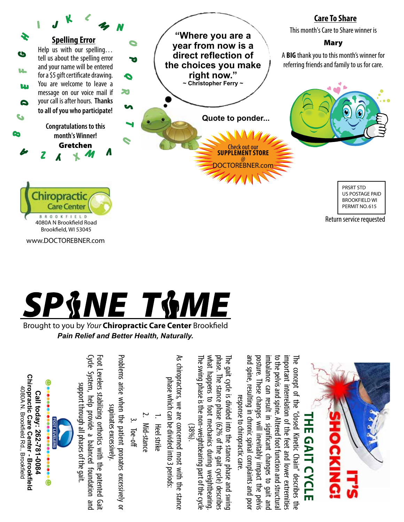

what happens to foot mechanics during weightbearing. phase. The stance phase (62% of the gait cycle) describes The gait cycle is divided into the stance phase and swing

The gait cycle is divided into the stance phase and swing

response to chiropractic care

what happens to foot mechanics during weightbearing phase. The stance phase (62% of the gait cycle) describes

www.DOCTOREBNER.com



Brought to you by *Your* Chiropractic Care Center Brookfield *Pain Relief and Better Health, Naturally.*

| Chiropractic Care Center - Brookfield<br>4080A N. Brookfield Rd., Brookfield<br>Call today: 262-781-0084 | $\bigoplus$ assessessessessesses<br>FOOT LEVELERS | Cycle System, help provide a balanced foundation and<br>Foot Levelers stabilizing orthotics with the patented Gait<br>support through all phases of the gait. | Problems arise when the patient pronates excessively or<br>supinates excessively. | $3.$ Toe-off | 2. Mid-stance | 1. Heel strike | As chiropractors, we are concerned most with the stance<br>phase which can be divided into 3 periods: | The swing phase is the non-weightbearing part of the cycle<br>$(38\%)$ . |
|----------------------------------------------------------------------------------------------------------|---------------------------------------------------|---------------------------------------------------------------------------------------------------------------------------------------------------------------|-----------------------------------------------------------------------------------|--------------|---------------|----------------|-------------------------------------------------------------------------------------------------------|--------------------------------------------------------------------------|
|                                                                                                          |                                                   |                                                                                                                                                               |                                                                                   |              |               |                |                                                                                                       |                                                                          |

and spine, resulting in chronic spinal complaints and poor posture. These changes will inevitably impact the pelvis imbalance can result in significant changes to gait and to the pelvis and spine. Altered foot function and structural to the pelvis and spine. Altered foot function and structural important interrelation of the feet and lower extremities The concept of the "closed Kinetic Chain" describes the important interrelation of the feet and lower extremities and spine, resulting in chronic spinal complaints and poo Dosture. These changes will inevitably impact the pelvis mbalance can result in significant changes to gait and  $\overline{5}$ concept of response to chiropractic care.  $=$ "closed Kinetic Chain" describes **The Gai t Cy cle**  $\frac{1}{2}$